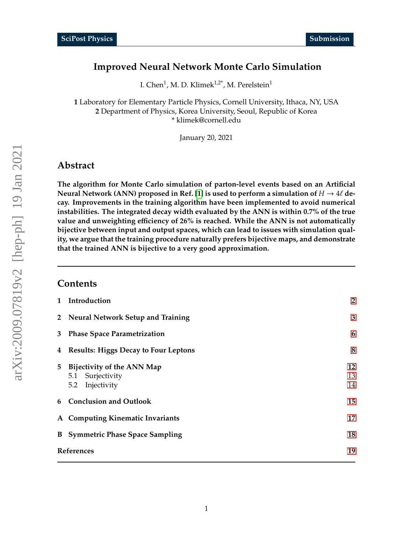# <span id="page-0-0"></span>**Improved Neural Network Monte Carlo Simulation**

I. Chen<sup>1</sup>, M. D. Klimek<sup>1,2\*</sup>, M. Perelstein<sup>1</sup>

**1** Laboratory for Elementary Particle Physics, Cornell University, Ithaca, NY, USA **2** Department of Physics, Korea University, Seoul, Republic of Korea \* klimek@cornell.edu

January 20, 2021

# **Abstract**

**The algorithm for Monte Carlo simulation of parton-level events based on an Artificial Neural Network (ANN) proposed in Ref. [\[1\]](#page-18-0) is used to perform a simulation of**  $H \to 4\ell$  **decay. Improvements in the training algorithm have been implemented to avoid numerical instabilities. The integrated decay width evaluated by the ANN is within 0.7% of the true value and unweighting e**ffi**ciency of 26% is reached. While the ANN is not automatically bijective between input and output spaces, which can lead to issues with simulation quality, we argue that the training procedure naturally prefers bijective maps, and demonstrate that the trained ANN is bijective to a very good approximation.**

#### **Contents**

| $\mathbf{1}$ | Introduction                                | $\overline{2}$ |
|--------------|---------------------------------------------|----------------|
|              | 2 Neural Network Setup and Training         | 3              |
| 3            | <b>Phase Space Parametrization</b>          | 6              |
| 4            | <b>Results: Higgs Decay to Four Leptons</b> | 8              |
| 5            | Bijectivity of the ANN Map                  | 12             |
|              | 5.1 Surjectivity                            | 13             |
|              | Injectivity<br>5.2                          | 14             |
|              | 6 Conclusion and Outlook                    | 15             |
|              | A Computing Kinematic Invariants            | 17             |
| B            | <b>Symmetric Phase Space Sampling</b>       | 18             |
| References   |                                             | 19             |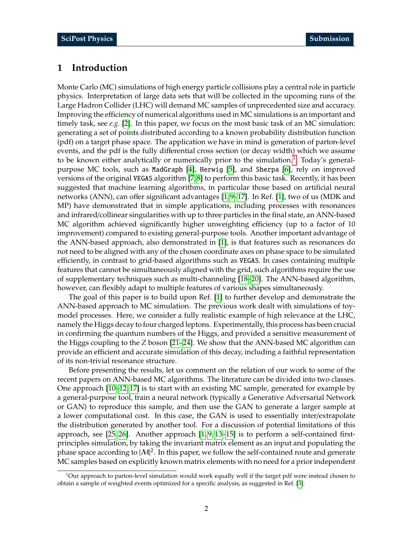## <span id="page-1-0"></span>**1 Introduction**

Monte Carlo (MC) simulations of high energy particle collisions play a central role in particle physics. Interpretation of large data sets that will be collected in the upcoming runs of the Large Hadron Collider (LHC) will demand MC samples of unprecedented size and accuracy. Improving the efficiency of numerical algorithms used in MC simulations is an important and timely task, see *e.g.* [\[2\]](#page-18-2). In this paper, we focus on the most basic task of an MC simulation: generating a set of points distributed according to a known probability distribution function (pdf) on a target phase space. The application we have in mind is generation of parton-level events, and the pdf is the fully differential cross section (or decay width) which we assume to be known either analytically or numerically prior to the simulation.<sup>[1](#page-0-0)</sup> Today's generalpurpose MC tools, such as MadGraph [\[4\]](#page-18-3), Herwig [\[5\]](#page-18-4), and Sherpa [\[6\]](#page-18-5), rely on improved versions of the original VEGAS algorithm [\[7,](#page-18-6) [8\]](#page-18-7) to perform this basic task. Recently, it has been suggested that machine learning algorithms, in particular those based on artificial neural networks (ANN), can offer significant advantages [\[1,](#page-18-0) [9](#page-18-8)[–17\]](#page-19-0). In Ref. [\[1\]](#page-18-0), two of us (MDK and MP) have demonstrated that in simple applications, including processes with resonances and infrared/collinear singularities with up to three particles in the final state, an ANN-based MC algorithm achieved significantly higher unweighting efficiency (up to a factor of 10 improvement) compared to existing general-purpose tools. Another important advantage of the ANN-based approach, also demonstrated in [\[1\]](#page-18-0), is that features such as resonances do not need to be aligned with any of the chosen coordinate axes on phase space to be simulated efficiently, in contrast to grid-based algorithms such as VEGAS. In cases containing multiple features that cannot be simultaneously aligned with the grid, such algorithms require the use of supplementary techniques such as multi-channeling [\[18](#page-19-1)[–20\]](#page-19-2). The ANN-based algorithm, however, can flexibly adapt to multiple features of various shapes simultaneously.

The goal of this paper is to build upon Ref. [\[1\]](#page-18-0) to further develop and demonstrate the ANN-based approach to MC simulation. The previous work dealt with simulations of toymodel processes. Here, we consider a fully realistic example of high relevance at the LHC, namely the Higgs decay to four charged leptons. Experimentally, this process has been crucial in confirming the quantum numbers of the Higgs, and provided a sensitive measurement of the Higgs coupling to the *Z* boson [\[21](#page-19-3)[–24\]](#page-19-4). We show that the ANN-based MC algorithm can provide an efficient and accurate simulation of this decay, including a faithful representation of its non-trivial resonance structure.

Before presenting the results, let us comment on the relation of our work to some of the recent papers on ANN-based MC algorithms. The literature can be divided into two classes. One approach [\[10–](#page-18-9)[12,](#page-19-5) [17\]](#page-19-0) is to start with an existing MC sample, generated for example by a general-purpose tool, train a neural network (typically a Generative Adversarial Network or GAN) to reproduce this sample, and then use the GAN to generate a larger sample at a lower computational cost. In this case, the GAN is used to essentially inter/extrapolate the distribution generated by another tool. For a discussion of potential limitations of this approach, see [\[25,](#page-19-6) [26\]](#page-19-7). Another approach [\[1,](#page-18-0) [9,](#page-18-8) [13–](#page-19-8)[15\]](#page-19-9) is to perform a self-contained firstprinciples simulation, by taking the invariant matrix element as an input and populating the phase space according to  $|M|^2$ . In this paper, we follow the self-contained route and generate MC samples based on explicitly known matrix elements with no need for a prior independent

<sup>&</sup>lt;sup>1</sup>Our approach to parton-level simulation would work equally well if the target pdf were instead chosen to obtain a sample of weighted events optimized for a specific analysis, as suggested in Ref. [\[3\]](#page-18-10).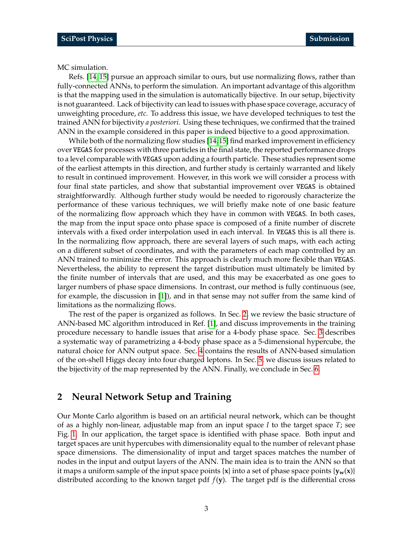MC simulation.

Refs. [\[14,](#page-19-10) [15\]](#page-19-9) pursue an approach similar to ours, but use normalizing flows, rather than fully-connected ANNs, to perform the simulation. An important advantage of this algorithm is that the mapping used in the simulation is automatically bijective. In our setup, bijectivity is not guaranteed. Lack of bijectivity can lead to issues with phase space coverage, accuracy of unweighting procedure, *etc.* To address this issue, we have developed techniques to test the trained ANN for bijectivity *a posteriori*. Using these techniques, we confirmed that the trained ANN in the example considered in this paper is indeed bijective to a good approximation.

While both of the normalizing flow studies [\[14,](#page-19-10)[15\]](#page-19-9) find marked improvement in efficiency over VEGAS for processes with three particles in the final state, the reported performance drops to a level comparable with VEGAS upon adding a fourth particle. These studies represent some of the earliest attempts in this direction, and further study is certainly warranted and likely to result in continued improvement. However, in this work we will consider a process with four final state particles, and show that substantial improvement over VEGAS is obtained straightforwardly. Although further study would be needed to rigorously characterize the performance of these various techniques, we will briefly make note of one basic feature of the normalizing flow approach which they have in common with VEGAS. In both cases, the map from the input space onto phase space is composed of a finite number of discrete intervals with a fixed order interpolation used in each interval. In VEGAS this is all there is. In the normalizing flow approach, there are several layers of such maps, with each acting on a different subset of coordinates, and with the parameters of each map controlled by an ANN trained to minimize the error. This approach is clearly much more flexible than VEGAS. Nevertheless, the ability to represent the target distribution must ultimately be limited by the finite number of intervals that are used, and this may be exacerbated as one goes to larger numbers of phase space dimensions. In contrast, our method is fully continuous (see, for example, the discussion in [\[1\]](#page-18-0)), and in that sense may not suffer from the same kind of limitations as the normalizing flows.

The rest of the paper is organized as follows. In Sec. [2,](#page-2-0) we review the basic structure of ANN-based MC algorithm introduced in Ref. [\[1\]](#page-18-0), and discuss improvements in the training procedure necessary to handle issues that arise for a 4-body phase space. Sec. [3](#page-5-0) describes a systematic way of parametrizing a 4-body phase space as a 5-dimensional hypercube, the natural choice for ANN output space. Sec. [4](#page-7-0) contains the results of ANN-based simulation of the on-shell Higgs decay into four charged leptons. In Sec. [5,](#page-11-0) we discuss issues related to the bijectivity of the map represented by the ANN. Finally, we conclude in Sec. [6.](#page-14-0)

### <span id="page-2-0"></span>**2 Neural Network Setup and Training**

Our Monte Carlo algorithm is based on an artificial neural network, which can be thought of as a highly non-linear, adjustable map from an input space *I* to the target space *T*; see Fig. [1.](#page-3-0) In our application, the target space is identified with phase space. Both input and target spaces are unit hypercubes with dimensionality equal to the number of relevant phase space dimensions. The dimensionality of input and target spaces matches the number of nodes in the input and output layers of the ANN. The main idea is to train the ANN so that it maps a uniform sample of the input space points  $\{x\}$  into a set of phase space points  $\{y_w(x)\}$ distributed according to the known target pdf  $f(y)$ . The target pdf is the differential cross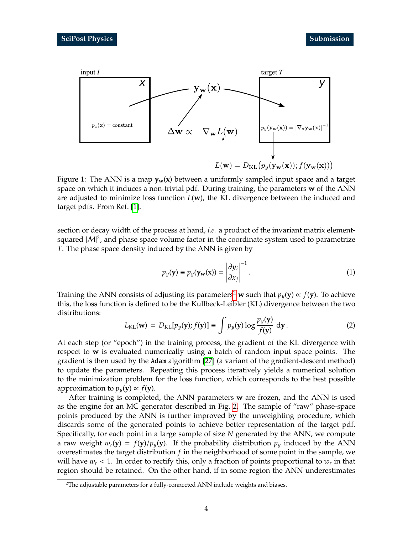<span id="page-3-0"></span>

Figure 1: The ANN is a map  $y_w(x)$  between a uniformly sampled input space and a target space on which it induces a non-trivial pdf. During training, the parameters **w** of the ANN are adjusted to minimize loss function *L*(**w**), the KL divergence between the induced and target pdfs. From Ref. [\[1\]](#page-18-0).

section or decay width of the process at hand, *i.e.* a product of the invariant matrix elementsquared  $|M|^2$ , and phase space volume factor in the coordinate system used to parametrize *T*. The phase space density induced by the ANN is given by

<span id="page-3-2"></span>
$$
p_{y}(\mathbf{y}) \equiv p_{y}(\mathbf{y}_{\mathbf{w}}(\mathbf{x})) = \left| \frac{\partial y_{i}}{\partial x_{j}} \right|^{-1}.
$$
 (1)

Training the ANN consists of adjusting its parameters<sup>[2](#page-0-0)</sup> **w** such that  $p_y(y) \propto f(y)$ . To achieve this, the loss function is defined to be the Kullbeck-Leibler (KL) divergence between the two distributions:

<span id="page-3-1"></span>
$$
L_{\text{KL}}(\mathbf{w}) = D_{\text{KL}}[p_y(\mathbf{y}); f(\mathbf{y})] \equiv \int p_y(\mathbf{y}) \log \frac{p_y(\mathbf{y})}{f(\mathbf{y})} \, \mathrm{d}\mathbf{y} \,. \tag{2}
$$

At each step (or "epoch") in the training process, the gradient of the KL divergence with respect to **w** is evaluated numerically using a batch of random input space points. The gradient is then used by the Adam algorithm [\[27\]](#page-20-0) (a variant of the gradient-descent method) to update the parameters. Repeating this process iteratively yields a numerical solution to the minimization problem for the loss function, which corresponds to the best possible approximation to  $p_y(y) \propto f(y)$ .

After training is completed, the ANN parameters **w** are frozen, and the ANN is used as the engine for an MC generator described in Fig. [2.](#page-4-0) The sample of "raw" phase-space points produced by the ANN is further improved by the unweighting procedure, which discards some of the generated points to achieve better representation of the target pdf. Specifically, for each point in a large sample of size *N* generated by the ANN, we compute a raw weight  $w_r(\mathbf{y}) = f(\mathbf{y})/p_y(\mathbf{y})$ . If the probability distribution  $p_y$  induced by the ANN overestimates the target distribution *f* in the neighborhood of some point in the sample, we will have *w<sup>r</sup>* < 1. In order to rectify this, only a fraction of points proportional to *w<sup>r</sup>* in that region should be retained. On the other hand, if in some region the ANN underestimates

<sup>&</sup>lt;sup>2</sup>The adjustable parameters for a fully-connected ANN include weights and biases.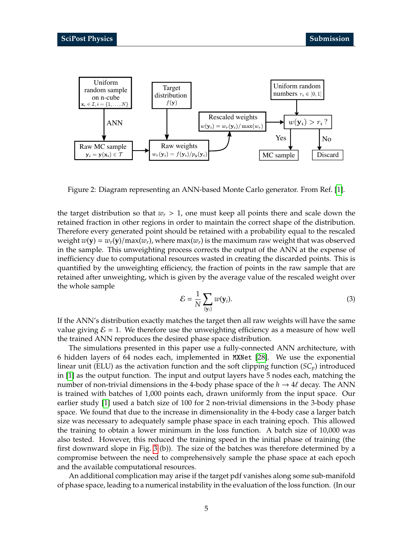<span id="page-4-0"></span>

Figure 2: Diagram representing an ANN-based Monte Carlo generator. From Ref. [\[1\]](#page-18-0).

the target distribution so that  $w_r > 1$ , one must keep all points there and scale down the retained fraction in other regions in order to maintain the correct shape of the distribution. Therefore every generated point should be retained with a probability equal to the rescaled weight  $w(y) = w_r(y)/\max(w_r)$ , where  $\max(w_r)$  is the maximum raw weight that was observed in the sample. This unweighting process corrects the output of the ANN at the expense of inefficiency due to computational resources wasted in creating the discarded points. This is quantified by the unweighting efficiency, the fraction of points in the raw sample that are retained after unweighting, which is given by the average value of the rescaled weight over the whole sample

$$
\mathcal{E} = \frac{1}{N} \sum_{\{\mathbf{y}_i\}} w(\mathbf{y}_i). \tag{3}
$$

If the ANN's distribution exactly matches the target then all raw weights will have the same value giving  $\mathcal{E} = 1$ . We therefore use the unweighting efficiency as a measure of how well the trained ANN reproduces the desired phase space distribution.

The simulations presented in this paper use a fully-connected ANN architecture, with 6 hidden layers of 64 nodes each, implemented in MXNet [\[28\]](#page-20-1). We use the exponential linear unit (ELU) as the activation function and the soft clipping function (*SCp*) introduced in [\[1\]](#page-18-0) as the output function. The input and output layers have 5 nodes each, matching the number of non-trivial dimensions in the 4-body phase space of the  $h \to 4\ell$  decay. The ANN is trained with batches of 1,000 points each, drawn uniformly from the input space. Our earlier study [\[1\]](#page-18-0) used a batch size of 100 for 2 non-trivial dimensions in the 3-body phase space. We found that due to the increase in dimensionality in the 4-body case a larger batch size was necessary to adequately sample phase space in each training epoch. This allowed the training to obtain a lower minimum in the loss function. A batch size of 10,000 was also tested. However, this reduced the training speed in the initial phase of training (the first downward slope in Fig. [3](#page-5-1) (b)). The size of the batches was therefore determined by a compromise between the need to comprehensively sample the phase space at each epoch and the available computational resources.

An additional complication may arise if the target pdf vanishes along some sub-manifold of phase space, leading to a numerical instability in the evaluation of the loss function. (In our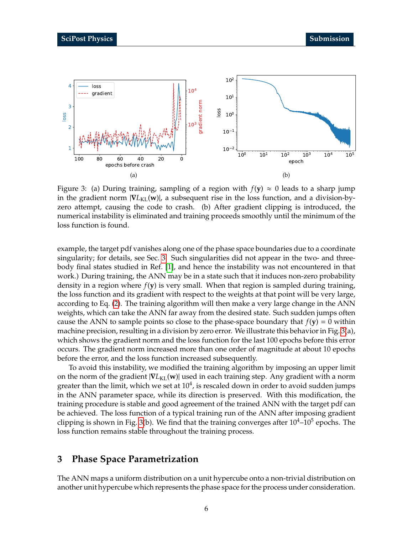<span id="page-5-1"></span>

Figure 3: (a) During training, sampling of a region with  $f(y) \approx 0$  leads to a sharp jump in the gradient norm |∇*L*KL(**w**)|, a subsequent rise in the loss function, and a division-byzero attempt, causing the code to crash. (b) After gradient clipping is introduced, the numerical instability is eliminated and training proceeds smoothly until the minimum of the loss function is found.

example, the target pdf vanishes along one of the phase space boundaries due to a coordinate singularity; for details, see Sec. [3.](#page-5-0) Such singularities did not appear in the two- and threebody final states studied in Ref. [\[1\]](#page-18-0), and hence the instability was not encountered in that work.) During training, the ANN may be in a state such that it induces non-zero probability density in a region where *f*(**y**) is very small. When that region is sampled during training, the loss function and its gradient with respect to the weights at that point will be very large, according to Eq. [\(2\)](#page-3-1). The training algorithm will then make a very large change in the ANN weights, which can take the ANN far away from the desired state. Such sudden jumps often cause the ANN to sample points so close to the phase-space boundary that  $f(y) = 0$  within machine precision, resulting in a division by zero error. We illustrate this behavior in Fig. [3\(](#page-5-1)a), which shows the gradient norm and the loss function for the last 100 epochs before this error occurs. The gradient norm increased more than one order of magnitude at about 10 epochs before the error, and the loss function increased subsequently.

To avoid this instability, we modified the training algorithm by imposing an upper limit on the norm of the gradient |∇*L*KL(**w**)| used in each training step. Any gradient with a norm greater than the limit, which we set at  $10^4$ , is rescaled down in order to avoid sudden jumps in the ANN parameter space, while its direction is preserved. With this modification, the training procedure is stable and good agreement of the trained ANN with the target pdf can be achieved. The loss function of a typical training run of the ANN after imposing gradient clipping is shown in Fig. [3\(](#page-5-1)b). We find that the training converges after  $10^4$ – $10^5$  epochs. The loss function remains stable throughout the training process.

## <span id="page-5-0"></span>**3 Phase Space Parametrization**

The ANN maps a uniform distribution on a unit hypercube onto a non-trivial distribution on another unit hypercube which represents the phase space for the process under consideration.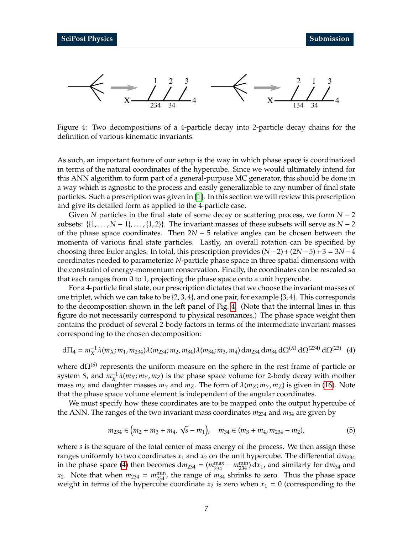<span id="page-6-0"></span>Figure 4: Two decompositions of a 4-particle decay into 2-particle decay chains for the definition of various kinematic invariants.

As such, an important feature of our setup is the way in which phase space is coordinatized in terms of the natural coordinates of the hypercube. Since we would ultimately intend for this ANN algorithm to form part of a general-purpose MC generator, this should be done in a way which is agnostic to the process and easily generalizable to any number of final state particles. Such a prescription was given in [\[1\]](#page-18-0). In this section we will review this prescription and give its detailed form as applied to the 4-particle case.

Given *N* particles in the final state of some decay or scattering process, we form *N* − 2 subsets:  $\{1, ..., N - 1\}, ..., \{1, 2\}\$ . The invariant masses of these subsets will serve as *N* − 2 of the phase space coordinates. Then 2*N* − 5 relative angles can be chosen between the momenta of various final state particles. Lastly, an overall rotation can be specified by choosing three Euler angles. In total, this prescription provides  $(N-2)+(2N-5)+3=3N-4$ coordinates needed to parameterize *N*-particle phase space in three spatial dimensions with the constraint of energy-momentum conservation. Finally, the coordinates can be rescaled so that each ranges from 0 to 1, projecting the phase space onto a unit hypercube.

For a 4-particle final state, our prescription dictates that we choose the invariant masses of one triplet, which we can take to be {2, 3, 4}, and one pair, for example {3, 4}. This corresponds to the decomposition shown in the left panel of Fig. [4.](#page-6-0) (Note that the internal lines in this figure do not necessarily correspond to physical resonances.) The phase space weight then contains the product of several 2-body factors in terms of the intermediate invariant masses corresponding to the chosen decomposition:

$$
d\Pi_4 = m_X^{-1} \lambda(m_X; m_1, m_{234}) \lambda(m_{234}; m_2, m_{34}) \lambda(m_{34}; m_3, m_4) \, dm_{234} \, dm_{34} \, d\Omega^{(X)} \, d\Omega^{(234)} \, d\Omega^{(23)} \tag{4}
$$

where dΩ<sup>(S)</sup> represents the uniform measure on the sphere in the rest frame of particle or system *S*, and  $m_X^{-1} \lambda(m_X; m_Y, m_Z)$  is the phase space volume for 2-body decay with mother mass  $m_X$  and daughter masses  $m_Y$  and  $m_Z$ . The form of  $\lambda(m_X; m_Y, m_Z)$  is given in [\(16\)](#page-16-1). Note that the phase space volume element is independent of the angular coordinates.

We must specify how these coordinates are to be mapped onto the output hypercube of the ANN. The ranges of the two invariant mass coordinates *m*<sup>234</sup> and *m*<sup>34</sup> are given by

<span id="page-6-1"></span>
$$
m_{234} \in (m_2 + m_3 + m_4, \sqrt{s} - m_1), \quad m_{34} \in (m_3 + m_4, m_{234} - m_2),
$$
 (5)

where *s* is the square of the total center of mass energy of the process. We then assign these ranges uniformly to two coordinates  $x_1$  and  $x_2$  on the unit hypercube. The differential d $m_{234}$ in the phase space [\(4\)](#page-6-1) then becomes  $dm_{234} = (m_{234}^{max} - m_{234}^{min}) dx_1$ , and similarly for  $dm_{34}$  and  $x_2$ . Note that when  $m_{234} = m_{234}^{\text{min}}$ , the range of  $m_{34}$  shrinks to zero. Thus the phase space weight in terms of the hypercube coordinate  $x_2$  is zero when  $x_1 = 0$  (corresponding to the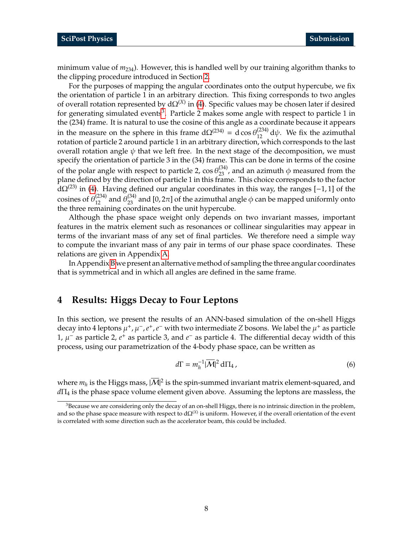minimum value of *m*234). However, this is handled well by our training algorithm thanks to the clipping procedure introduced in Section [2.](#page-2-0)

For the purposes of mapping the angular coordinates onto the output hypercube, we fix the orientation of particle 1 in an arbitrary direction. This fixing corresponds to two angles of overall rotation represented by  $d\Omega^{(X)}$  in [\(4\)](#page-6-1). Specific values may be chosen later if desired for generating simulated events<sup>[3](#page-0-0)</sup>. Particle 2 makes some angle with respect to particle 1 in the (234) frame. It is natural to use the cosine of this angle as a coordinate because it appears in the measure on the sphere in this frame  $d\Omega^{(234)} = d \cos \theta_{12}^{(234)} d\psi$ . We fix the azimuthal rotation of particle 2 around particle 1 in an arbitrary direction, which corresponds to the last overall rotation angle  $\psi$  that we left free. In the next stage of the decomposition, we must specify the orientation of particle 3 in the (34) frame. This can be done in terms of the cosine of the polar angle with respect to particle 2,  $\cos \theta_{23}^{(34)}$ , and an azimuth  $\phi$  measured from the plane defined by the direction of particle 1 in this frame. This choice corresponds to the factor  $d\Omega^{(23)}$  in [\(4\)](#page-6-1). Having defined our angular coordinates in this way, the ranges [-1, 1] of the cosines of  $\theta_{12}^{(234)}$  and  $\theta_{23}^{(34)}$  and [0,2 $\pi$ ] of the azimuthal angle  $\phi$  can be mapped uniformly onto the three remaining coordinates on the unit hypercube.

Although the phase space weight only depends on two invariant masses, important features in the matrix element such as resonances or collinear singularities may appear in terms of the invariant mass of any set of final particles. We therefore need a simple way to compute the invariant mass of any pair in terms of our phase space coordinates. These relations are given in Appendix [A.](#page-16-0)

In Appendix [B](#page-17-0) we present an alternative method of sampling the three angular coordinates that is symmetrical and in which all angles are defined in the same frame.

## <span id="page-7-0"></span>**4 Results: Higgs Decay to Four Leptons**

In this section, we present the results of an ANN-based simulation of the on-shell Higgs decay into 4 leptons  $\mu^+$ ,  $\mu^-$ ,  $e^+$ ,  $e^-$  with two intermediate *Z* bosons. We label the  $\mu^+$  as particle 1, µ <sup>−</sup> as particle 2, *e* <sup>+</sup> as particle 3, and *e* <sup>−</sup> as particle 4. The differential decay width of this process, using our parametrization of the 4-body phase space, can be written as

$$
d\Gamma = m_h^{-1} |\overline{M}|^2 d\Pi_4, \qquad (6)
$$

where  $m_h$  is the Higgs mass,  $|\overline{\mathcal{M}}|^2$  is the spin-summed invariant matrix element-squared, and *d*Π<sup>4</sup> is the phase space volume element given above. Assuming the leptons are massless, the

 $3B$  Because we are considering only the decay of an on-shell Higgs, there is no intrinsic direction in the problem, and so the phase space measure with respect to  $d\Omega^{(X)}$  is uniform. However, if the overall orientation of the event is correlated with some direction such as the accelerator beam, this could be included.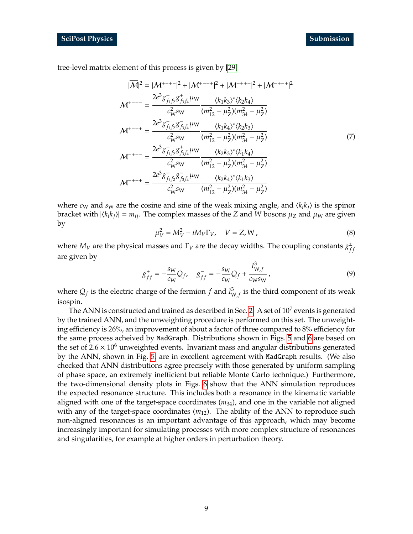tree-level matrix element of this process is given by [\[29\]](#page-20-2)

$$
|\overline{\mathcal{M}}|^{2} = |\mathcal{M}^{+-+}|^{2} + |\mathcal{M}^{+-+}|^{2} + |\mathcal{M}^{-+-}|^{2} + |\mathcal{M}^{-+-+}|^{2}
$$
  
\n
$$
\mathcal{M}^{+-+-} = \frac{2e^{3}g_{f_{1}f_{2}}^{+}g_{f_{3}f_{4}}^{+} \mu_{W}}{c_{W}^{2}g_{W}} \frac{\langle k_{1}k_{3}\rangle^{*}\langle k_{2}k_{4}\rangle}{(m_{12}^{2} - \mu_{2}^{2})(m_{34}^{2} - \mu_{2}^{2})}
$$
  
\n
$$
\mathcal{M}^{+--+} = \frac{2e^{3}g_{f_{1}f_{2}}^{+}g_{f_{3}f_{4}}^{+} \mu_{W}}{c_{W}^{2}g_{W}} \frac{\langle k_{1}k_{4}\rangle^{*}\langle k_{2}k_{3}\rangle}{(m_{12}^{2} - \mu_{2}^{2})(m_{34}^{2} - \mu_{2}^{2})}
$$
  
\n
$$
\mathcal{M}^{-++-} = \frac{2e^{3}g_{f_{1}f_{2}}^{-}g_{f_{3}f_{4}}^{+} \mu_{W}}{c_{W}^{2}g_{W}} \frac{\langle k_{2}k_{3}\rangle^{*}\langle k_{1}k_{4}\rangle}{(m_{12}^{2} - \mu_{2}^{2})(m_{34}^{2} - \mu_{2}^{2})}
$$
  
\n
$$
\mathcal{M}^{-++-} = \frac{2e^{3}g_{f_{1}f_{2}}^{-}g_{f_{3}f_{4}}^{-} \mu_{W}}{c_{W}^{2}g_{W}} \frac{\langle k_{2}k_{4}\rangle^{*}\langle k_{1}k_{3}\rangle}{(m_{12}^{2} - \mu_{2}^{2})(m_{34}^{2} - \mu_{2}^{2})}
$$

where  $c_W$  and  $s_W$  are the cosine and sine of the weak mixing angle, and  $\langle k_i k_j \rangle$  is the spinor bracket with  $|\langle k_i k_j \rangle| = m_{ij}$ . The complex masses of the *Z* and *W* bosons  $\mu_Z$  and  $\mu_W$  are given by

$$
\mu_V^2 = M_V^2 - iM_V \Gamma_V, \quad V = Z, W,
$$
\n(8)

where  $M_V$  are the physical masses and  $\Gamma_V$  are the decay widths. The coupling constants  $g_f^{\pm}$ *f f* are given by

$$
g_{ff}^{+} = -\frac{s_{W}}{c_{W}}Q_{f}, \quad g_{ff}^{-} = -\frac{s_{W}}{c_{W}}Q_{f} + \frac{I_{W,f}^{3}}{c_{W}s_{W}},
$$
\n(9)

where  $Q_f$  is the electric charge of the fermion  $f$  and  $I_V^3$  $_{\text{W},f}^3$  is the third component of its weak isospin.

The ANN is constructed and trained as described in Sec. [2.](#page-2-0) A set of  $10^7$  events is generated by the trained ANN, and the unweighting procedure is performed on this set. The unweighting efficiency is 26%, an improvement of about a factor of three compared to 8% efficiency for the same process acheived by MadGraph. Distributions shown in Figs. [5](#page-9-0) and [6](#page-10-0) are based on the set of  $2.6 \times 10^6$  unweighted events. Invariant mass and angular distributions generated by the ANN, shown in Fig. [5,](#page-9-0) are in excellent agreement with MadGraph results. (We also checked that ANN distributions agree precisely with those generated by uniform sampling of phase space, an extremely inefficient but reliable Monte Carlo technique.) Furthermore, the two-dimensional density plots in Figs. [6](#page-10-0) show that the ANN simulation reproduces the expected resonance structure. This includes both a resonance in the kinematic variable aligned with one of the target-space coordinates  $(m_{34})$ , and one in the variable not aligned with any of the target-space coordinates  $(m_{12})$ . The ability of the ANN to reproduce such non-aligned resonances is an important advantage of this approach, which may become increasingly important for simulating processes with more complex structure of resonances and singularities, for example at higher orders in perturbation theory.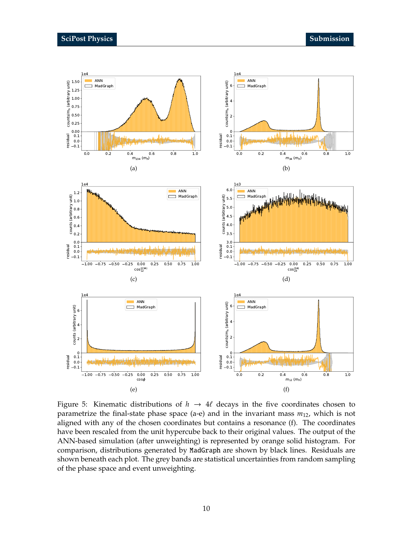<span id="page-9-0"></span>

Figure 5: Kinematic distributions of  $h \rightarrow 4\ell$  decays in the five coordinates chosen to parametrize the final-state phase space (a-e) and in the invariant mass *m*12, which is not aligned with any of the chosen coordinates but contains a resonance (f). The coordinates have been rescaled from the unit hypercube back to their original values. The output of the ANN-based simulation (after unweighting) is represented by orange solid histogram. For comparison, distributions generated by MadGraph are shown by black lines. Residuals are shown beneath each plot. The grey bands are statistical uncertainties from random sampling of the phase space and event unweighting.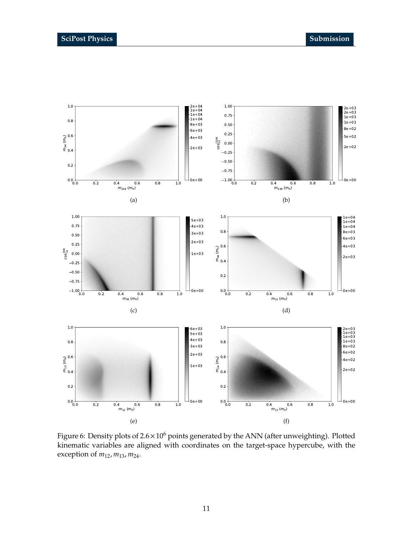<span id="page-10-0"></span>

Figure 6: Density plots of  $2.6 \times 10^6$  points generated by the ANN (after unweighting). Plotted kinematic variables are aligned with coordinates on the target-space hypercube, with the exception of *m*12, *m*13, *m*24.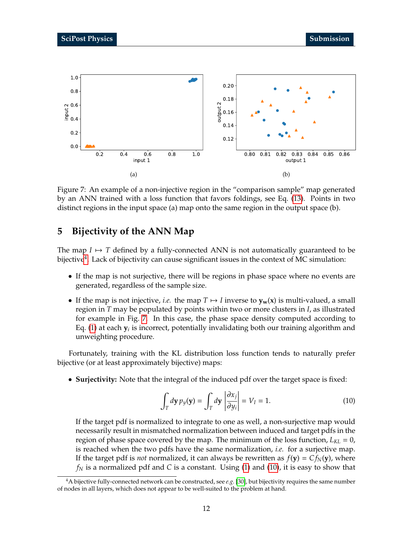<span id="page-11-1"></span>

Figure 7: An example of a non-injective region in the "comparison sample" map generated by an ANN trained with a loss function that favors foldings, see Eq. [\(13\)](#page-13-1). Points in two distinct regions in the input space (a) map onto the same region in the output space (b).

# <span id="page-11-0"></span>**5 Bijectivity of the ANN Map**

The map  $I \mapsto T$  defined by a fully-connected ANN is not automatically guaranteed to be bijective $\rm ^4.$  $\rm ^4.$  $\rm ^4.$  Lack of bijectivity can cause significant issues in the context of MC simulation:

- If the map is not surjective, there will be regions in phase space where no events are generated, regardless of the sample size.
- If the map is not injective, *i.e.* the map  $T \mapsto I$  inverse to  $y_w(x)$  is multi-valued, a small region in *T* may be populated by points within two or more clusters in *I*, as illustrated for example in Fig. [7.](#page-11-1) In this case, the phase space density computed according to Eq. [\(1\)](#page-3-2) at each  $\mathbf{y}_i$  is incorrect, potentially invalidating both our training algorithm and unweighting procedure.

Fortunately, training with the KL distribution loss function tends to naturally prefer bijective (or at least approximately bijective) maps:

• **Surjectivity:** Note that the integral of the induced pdf over the target space is fixed:

<span id="page-11-2"></span>
$$
\int_{T} d\mathbf{y} \, p_{y}(\mathbf{y}) = \int_{T} d\mathbf{y} \, \left| \frac{\partial x_{j}}{\partial y_{i}} \right| = V_{I} = 1. \tag{10}
$$

If the target pdf is normalized to integrate to one as well, a non-surjective map would necessarily result in mismatched normalization between induced and target pdfs in the region of phase space covered by the map. The minimum of the loss function, *LKL* = 0, is reached when the two pdfs have the same normalization, *i.e.* for a surjective map. If the target pdf is *not* normalized, it can always be rewritten as  $f(\mathbf{y}) = C f_N(\mathbf{y})$ , where *f<sup>N</sup>* is a normalized pdf and *C* is a constant. Using [\(1\)](#page-3-2) and [\(10\)](#page-11-2), it is easy to show that

<sup>4</sup>A bijective fully-connected network can be constructed, see *e.g.* [\[30\]](#page-20-3), but bijectivity requires the same number of nodes in all layers, which does not appear to be well-suited to the problem at hand.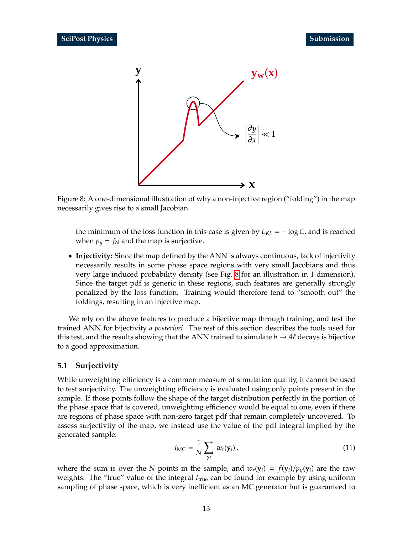<span id="page-12-1"></span>

Figure 8: A one-dimensional illustration of why a non-injective region ("folding") in the map necessarily gives rise to a small Jacobian.

the minimum of the loss function in this case is given by  $L_{KL} = -\log C$ , and is reached when  $p_y = f_N$  and the map is surjective.

• **Injectivity:** Since the map defined by the ANN is always continuous, lack of injectivity necessarily results in some phase space regions with very small Jacobians and thus very large induced probability density (see Fig. [8](#page-12-1) for an illustration in 1 dimension). Since the target pdf is generic in these regions, such features are generally strongly penalized by the loss function. Training would therefore tend to "smooth out" the foldings, resulting in an injective map.

We rely on the above features to produce a bijective map through training, and test the trained ANN for bijectivity *a posteriori*. The rest of this section describes the tools used for this test, and the results showing that the ANN trained to simulate  $h \to 4\ell$  decays is bijective to a good approximation.

#### <span id="page-12-0"></span>**5.1 Surjectivity**

While unweighting efficiency is a common measure of simulation quality, it cannot be used to test surjectivity. The unweighting efficiency is evaluated using only points present in the sample. If those points follow the shape of the target distribution perfectly in the portion of the phase space that is covered, unweighting efficiency would be equal to one, even if there are regions of phase space with non-zero target pdf that remain completely uncovered. To assess surjectivity of the map, we instead use the value of the pdf integral implied by the generated sample:

<span id="page-12-2"></span>
$$
I_{\rm MC} = \frac{1}{N} \sum_{\mathbf{y}_i} w_r(\mathbf{y}_i), \qquad (11)
$$

where the sum is over the *N* points in the sample, and  $w_r(\mathbf{y}_i) = f(\mathbf{y}_i)/p_v(\mathbf{y}_i)$  are the raw weights. The "true" value of the integral *I<sub>true</sub>* can be found for example by using uniform sampling of phase space, which is very inefficient as an MC generator but is guaranteed to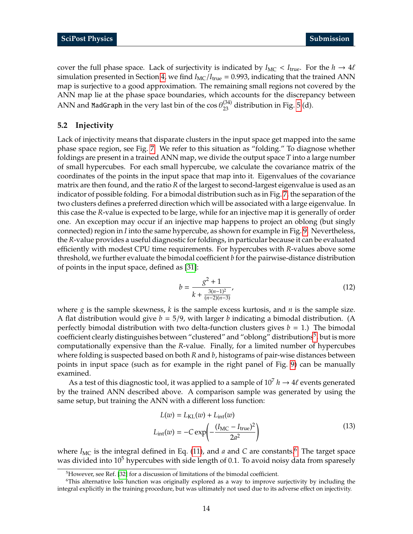cover the full phase space. Lack of surjectivity is indicated by  $I_{MC} < I_{true}$ . For the  $h \to 4\ell$ simulation presented in Section [4,](#page-7-0) we find  $I_{MC}/I_{true} = 0.993$ , indicating that the trained ANN map is surjective to a good approximation. The remaining small regions not covered by the ANN map lie at the phase space boundaries, which accounts for the discrepancy between ANN and <code>MadGraph</code> in the very last bin of the  $\cos\theta_{23}^{(34)}$  distribution in Fig. [5](#page-9-0) (d).

#### <span id="page-13-0"></span>**5.2 Injectivity**

Lack of injectivity means that disparate clusters in the input space get mapped into the same phase space region, see Fig. [7.](#page-11-1) We refer to this situation as "folding." To diagnose whether foldings are present in a trained ANN map, we divide the output space *T* into a large number of small hypercubes. For each small hypercube, we calculate the covariance matrix of the coordinates of the points in the input space that map into it. Eigenvalues of the covariance matrix are then found, and the ratio *R* of the largest to second-largest eigenvalue is used as an indicator of possible folding. For a bimodal distribution such as in Fig. [7,](#page-11-1) the separation of the two clusters defines a preferred direction which will be associated with a large eigenvalue. In this case the *R*-value is expected to be large, while for an injective map it is generally of order one. An exception may occur if an injective map happens to project an oblong (but singly connected) region in *I* into the same hypercube, as shown for example in Fig. [9.](#page-14-1) Nevertheless, the *R*-value provides a useful diagnostic for foldings, in particular because it can be evaluated efficiently with modest CPU time requirements. For hypercubes with *R*-values above some threshold, we further evaluate the bimodal coefficient *b* for the pairwise-distance distribution of points in the input space, defined as [\[31\]](#page-20-4):

$$
b = \frac{g^2 + 1}{k + \frac{3(n-1)^2}{(n-2)(n-3)}},
$$
\n(12)

where *g* is the sample skewness, *k* is the sample excess kurtosis, and *n* is the sample size. A flat distribution would give  $b = 5/9$ , with larger *b* indicating a bimodal distribution. (A perfectly bimodal distribution with two delta-function clusters gives  $b = 1$ .) The bimodal coefficient clearly distinguishes between "clustered" and "oblong" distributions $^5$  $^5$ , but is more computationally expensive than the *R*-value. Finally, for a limited number of hypercubes where folding is suspected based on both *R* and *b*, histograms of pair-wise distances between points in input space (such as for example in the right panel of Fig. [9\)](#page-14-1) can be manually examined.

As a test of this diagnostic tool, it was applied to a sample of  $10^7 h \rightarrow 4\ell$  events generated by the trained ANN described above. A comparison sample was generated by using the same setup, but training the ANN with a different loss function:

<span id="page-13-1"></span>
$$
L(w) = L_{\text{KL}}(w) + L_{\text{int}}(w)
$$
  

$$
L_{\text{int}}(w) = -C \exp\left(-\frac{(I_{\text{MC}} - I_{\text{true}})^2}{2a^2}\right)
$$
 (13)

where  $I_{MC}$  is the integral defined in Eq. [\(11\)](#page-12-2), and *a* and *C* are constants.<sup>[6](#page-0-0)</sup> The target space was divided into  $10^5$  hypercubes with side length of 0.1. To avoid noisy data from sparesely

<sup>&</sup>lt;sup>5</sup>However, see Ref. [\[32\]](#page-20-5) for a discussion of limitations of the bimodal coefficient.

<sup>6</sup>This alternative loss function was originally explored as a way to improve surjectivity by including the integral explicitly in the training procedure, but was ultimately not used due to its adverse effect on injectivity.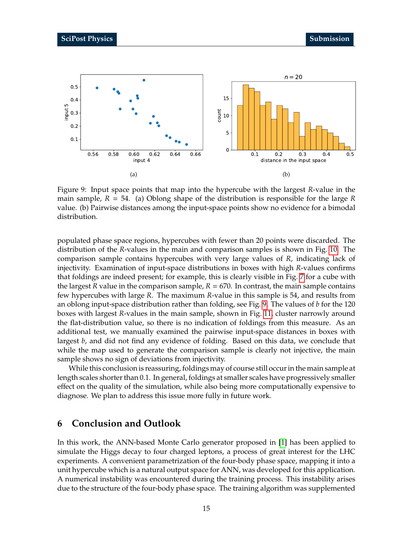<span id="page-14-1"></span>

Figure 9: Input space points that map into the hypercube with the largest *R*-value in the main sample, *R* = 54. (a) Oblong shape of the distribution is responsible for the large *R* value. (b) Pairwise distances among the input-space points show no evidence for a bimodal distribution.

populated phase space regions, hypercubes with fewer than 20 points were discarded. The distribution of the *R*-values in the main and comparison samples is shown in Fig. [10.](#page-15-0) The comparison sample contains hypercubes with very large values of *R*, indicating lack of injectivity. Examination of input-space distributions in boxes with high *R*-values confirms that foldings are indeed present; for example, this is clearly visible in Fig. [7](#page-11-1) for a cube with the largest *R* value in the comparison sample,  $R = 670$ . In contrast, the main sample contains few hypercubes with large *R*. The maximum *R*-value in this sample is 54, and results from an oblong input-space distribution rather than folding, see Fig. [9.](#page-14-1) The values of *b* for the 120 boxes with largest *R*-values in the main sample, shown in Fig. [11,](#page-15-1) cluster narrowly around the flat-distribution value, so there is no indication of foldings from this measure. As an additional test, we manually examined the pairwise input-space distances in boxes with largest *b*, and did not find any evidence of folding. Based on this data, we conclude that while the map used to generate the comparison sample is clearly not injective, the main sample shows no sign of deviations from injectivity.

While this conclusion is reassuring, foldings may of course still occur in the main sample at length scales shorter than 0.1. In general, foldings at smaller scales have progressively smaller effect on the quality of the simulation, while also being more computationally expensive to diagnose. We plan to address this issue more fully in future work.

## <span id="page-14-0"></span>**6 Conclusion and Outlook**

In this work, the ANN-based Monte Carlo generator proposed in [\[1\]](#page-18-0) has been applied to simulate the Higgs decay to four charged leptons, a process of great interest for the LHC experiments. A convenient parametrization of the four-body phase space, mapping it into a unit hypercube which is a natural output space for ANN, was developed for this application. A numerical instability was encountered during the training process. This instability arises due to the structure of the four-body phase space. The training algorithm was supplemented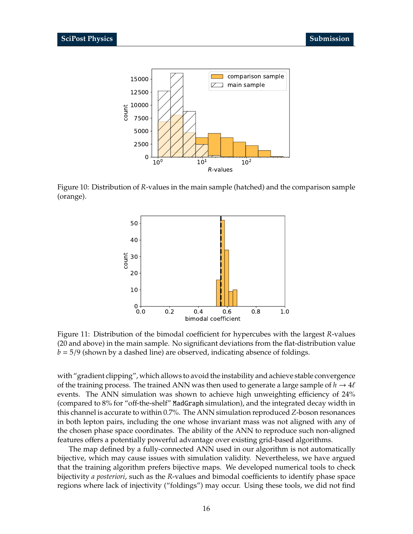<span id="page-15-0"></span>

<span id="page-15-1"></span>Figure 10: Distribution of *R*-values in the main sample (hatched) and the comparison sample (orange).



Figure 11: Distribution of the bimodal coefficient for hypercubes with the largest *R*-values (20 and above) in the main sample. No significant deviations from the flat-distribution value *b* = 5/9 (shown by a dashed line) are observed, indicating absence of foldings.

with "gradient clipping", which allows to avoid the instability and achieve stable convergence of the training process. The trained ANN was then used to generate a large sample of  $h \to 4\ell$ events. The ANN simulation was shown to achieve high unweighting efficiency of 24% (compared to 8% for "off-the-shelf" MadGraph simulation), and the integrated decay width in this channel is accurate to within 0.7%. The ANN simulation reproduced *Z*-boson resonances in both lepton pairs, including the one whose invariant mass was not aligned with any of the chosen phase space coordinates. The ability of the ANN to reproduce such non-aligned features offers a potentially powerful advantage over existing grid-based algorithms.

The map defined by a fully-connected ANN used in our algorithm is not automatically bijective, which may cause issues with simulation validity. Nevertheless, we have argued that the training algorithm prefers bijective maps. We developed numerical tools to check bijectivity *a posteriori*, such as the *R*-values and bimodal coefficients to identify phase space regions where lack of injectivity ("foldings") may occur. Using these tools, we did not find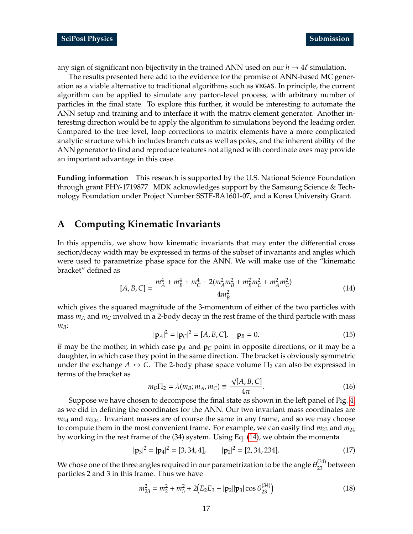any sign of significant non-bijectivity in the trained ANN used on our  $h \to 4\ell$  simulation.

The results presented here add to the evidence for the promise of ANN-based MC generation as a viable alternative to traditional algorithms such as VEGAS. In principle, the current algorithm can be applied to simulate any parton-level process, with arbitrary number of particles in the final state. To explore this further, it would be interesting to automate the ANN setup and training and to interface it with the matrix element generator. Another interesting direction would be to apply the algorithm to simulations beyond the leading order. Compared to the tree level, loop corrections to matrix elements have a more complicated analytic structure which includes branch cuts as well as poles, and the inherent ability of the ANN generator to find and reproduce features not aligned with coordinate axes may provide an important advantage in this case.

**Funding information** This research is supported by the U.S. National Science Foundation through grant PHY-1719877. MDK acknowledges support by the Samsung Science & Technology Foundation under Project Number SSTF-BA1601-07, and a Korea University Grant.

### <span id="page-16-0"></span>**A Computing Kinematic Invariants**

In this appendix, we show how kinematic invariants that may enter the differential cross section/decay width may be expressed in terms of the subset of invariants and angles which were used to parametrize phase space for the ANN. We will make use of the "kinematic bracket" defined as

<span id="page-16-2"></span>
$$
[A, B, C] = \frac{m_A^4 + m_B^4 + m_C^4 - 2(m_A^2 m_B^2 + m_B^2 m_C^2 + m_A^2 m_C^2)}{4m_B^2}
$$
(14)

which gives the squared magnitude of the 3-momentum of either of the two particles with mass  $m_A$  and  $m_C$  involved in a 2-body decay in the rest frame of the third particle with mass *mB*:

$$
|\mathbf{p}_A|^2 = |\mathbf{p}_C|^2 = [A, B, C], \quad \mathbf{p}_B = 0.
$$
 (15)

*B* may be the mother, in which case **p***<sup>A</sup>* and **p***<sup>C</sup>* point in opposite directions, or it may be a daughter, in which case they point in the same direction. The bracket is obviously symmetric under the exchange  $A \leftrightarrow C$ . The 2-body phase space volume  $\Pi_2$  can also be expressed in terms of the bracket as √

<span id="page-16-1"></span>
$$
m_B \Pi_2 = \lambda(m_B; m_A, m_C) \equiv \frac{\sqrt{[A, B, C]}}{4\pi}.
$$
 (16)

Suppose we have chosen to decompose the final state as shown in the left panel of Fig. [4,](#page-6-0) as we did in defining the coordinates for the ANN. Our two invariant mass coordinates are *m*<sup>34</sup> and *m*234. Invariant masses are of course the same in any frame, and so we may choose to compute them in the most convenient frame. For example, we can easily find  $m_{23}$  and  $m_{24}$ by working in the rest frame of the (34) system. Using Eq. [\(14\)](#page-16-2), we obtain the momenta

$$
|\mathbf{p}_3|^2 = |\mathbf{p}_4|^2 = [3, 34, 4], \qquad |\mathbf{p}_2|^2 = [2, 34, 234]. \tag{17}
$$

We chose one of the three angles required in our parametrization to be the angle  $\theta_{23}^{(34)}$  between particles 2 and 3 in this frame. Thus we have

<span id="page-16-3"></span>
$$
m_{23}^2 = m_2^2 + m_3^2 + 2(E_2 E_3 - |\mathbf{p}_2||\mathbf{p}_3|\cos\theta_{23}^{(34)})
$$
\n(18)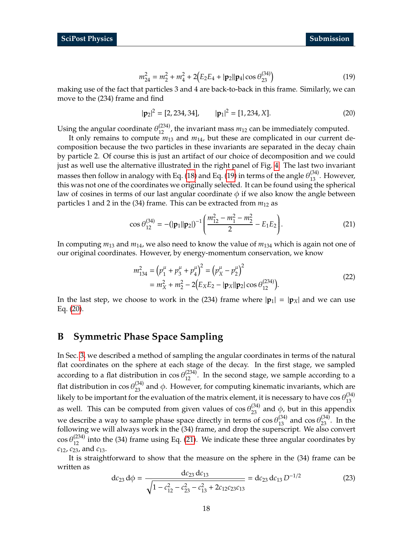$$
m_{24}^2 = m_2^2 + m_4^2 + 2(E_2 E_4 + |\mathbf{p}_2||\mathbf{p}_4|\cos\theta_{23}^{(34)})
$$
\n(19)

<span id="page-17-1"></span>making use of the fact that particles 3 and 4 are back-to-back in this frame. Similarly, we can move to the (234) frame and find

<span id="page-17-2"></span>
$$
|\mathbf{p}_2|^2 = [2, 234, 34], \qquad |\mathbf{p}_1|^2 = [1, 234, X]. \tag{20}
$$

Using the angular coordinate  $\theta_{12}^{(234)}$ , the invariant mass  $m_{12}$  can be immediately computed.

It only remains to compute *m*<sup>13</sup> and *m*14, but these are complicated in our current decomposition because the two particles in these invariants are separated in the decay chain by particle 2. Of course this is just an artifact of our choice of decomposition and we could just as well use the alternative illustrated in the right panel of Fig. [4.](#page-6-0) The last two invariant masses then follow in analogy with Eq. [\(18\)](#page-16-3) and Eq. [\(19\)](#page-17-1) in terms of the angle  $\theta_{13}^{(34)}$ . However, this was not one of the coordinates we originally selected. It can be found using the spherical law of cosines in terms of our last angular coordinate  $\phi$  if we also know the angle between particles 1 and 2 in the (34) frame. This can be extracted from *m*<sup>12</sup> as

<span id="page-17-3"></span>
$$
\cos \theta_{12}^{(34)} = -\left(|\mathbf{p}_1||\mathbf{p}_2|\right)^{-1} \left(\frac{m_{12}^2 - m_1^2 - m_2^2}{2} - E_1 E_2\right). \tag{21}
$$

In computing *m*<sup>13</sup> and *m*14, we also need to know the value of *m*<sup>134</sup> which is again not one of our original coordinates. However, by energy-momentum conservation, we know

$$
m_{134}^2 = (p_1^{\mu} + p_3^{\mu} + p_4^{\mu})^2 = (p_X^{\mu} - p_2^{\mu})^2
$$
  
=  $m_X^2 + m_2^2 - 2(E_X E_2 - |\mathbf{p}_X||\mathbf{p}_2|\cos\theta_{12}^{(234)})$ . (22)

In the last step, we choose to work in the (234) frame where  $|\mathbf{p}_1| = |\mathbf{p}_X|$  and we can use Eq. [\(20\)](#page-17-2).

## <span id="page-17-0"></span>**B Symmetric Phase Space Sampling**

In Sec. [3,](#page-5-0) we described a method of sampling the angular coordinates in terms of the natural flat coordinates on the sphere at each stage of the decay. In the first stage, we sampled according to a flat distribution in  $\cos \theta_{12}^{(234)}$ . In the second stage, we sample according to a flat distribution in  $cos θ_{23}^{(34)}$  and φ. However, for computing kinematic invariants, which are likely to be important for the evaluation of the matrix element, it is necessary to have cos  $\theta_{13}^{(34)}$ 13 as well. This can be computed from given values of  $\cos \theta_{23}^{(34)}$  and  $\phi$ , but in this appendix we describe a way to sample phase space directly in terms of  $\cos \theta_{13}^{(34)}$  and  $\cos \theta_{23}^{(34)}$ . In the following we will always work in the (34) frame, and drop the superscript. We also convert  $\cos \theta_{12}^{(234)}$  into the (34) frame using Eq. [\(21\)](#page-17-3). We indicate these three angular coordinates by *c*12, *c*23, and *c*13.

It is straightforward to show that the measure on the sphere in the (34) frame can be written as

$$
dc_{23} d\phi = \frac{dc_{23} dc_{13}}{\sqrt{1 - c_{12}^2 - c_{23}^2 - c_{13}^2 + 2c_{12}c_{23}c_{13}}} = dc_{23} dc_{13} D^{-1/2}
$$
(23)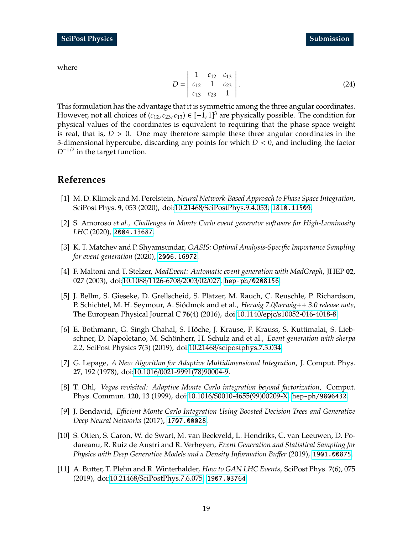$$
D = \begin{vmatrix} 1 & c_{12} & c_{13} \\ c_{12} & 1 & c_{23} \\ c_{13} & c_{23} & 1 \end{vmatrix}.
$$
 (24)

<span id="page-18-1"></span>This formulation has the advantage that it is symmetric among the three angular coordinates. However, not all choices of  $(c_{12}, c_{23}, c_{13}) \in [-1, 1]^3$  are physically possible. The condition for physical values of the coordinates is equivalent to requiring that the phase space weight is real, that is,  $D > 0$ . One may therefore sample these three angular coordinates in the 3-dimensional hypercube, discarding any points for which *D* < 0, and including the factor *D*<sup>−1/2</sup> in the target function.

## **References**

- <span id="page-18-0"></span>[1] M. D. Klimek and M. Perelstein, *Neural Network-Based Approach to Phase Space Integration*, SciPost Phys. **9**, 053 (2020), doi:10.21468/[SciPostPhys.9.4.053,](https://doi.org/10.21468/SciPostPhys.9.4.053) <1810.11509>.
- <span id="page-18-2"></span>[2] S. Amoroso *et al.*, *Challenges in Monte Carlo event generator software for High-Luminosity LHC* (2020), <2004.13687>.
- <span id="page-18-10"></span>[3] K. T. Matchev and P. Shyamsundar, *OASIS: Optimal Analysis-Specific Importance Sampling for event generation* (2020), <2006.16972>.
- <span id="page-18-3"></span>[4] F. Maltoni and T. Stelzer, *MadEvent: Automatic event generation with MadGraph*, JHEP **02**, 027 (2003), doi:10.1088/[1126-6708](https://doi.org/10.1088/1126-6708/2003/02/027)/2003/02/027, <hep-ph/0208156>.
- <span id="page-18-4"></span>[5] J. Bellm, S. Gieseke, D. Grellscheid, S. Platzer, M. Rauch, C. Reuschle, P. Richardson, ¨ P. Schichtel, M. H. Seymour, A. Siodmok and et al., ´ *Herwig 7.0*/*herwig*++ *3.0 release note*, The European Physical Journal C **76**(4) (2016), doi:10.1140/epjc/[s10052-016-4018-8.](https://doi.org/10.1140/epjc/s10052-016-4018-8)
- <span id="page-18-5"></span>[6] E. Bothmann, G. Singh Chahal, S. Höche, J. Krause, F. Krauss, S. Kuttimalai, S. Liebschner, D. Napoletano, M. Schönherr, H. Schulz and et al., Event generation with sherpa *2.2*, SciPost Physics **7**(3) (2019), doi:10.21468/[scipostphys.7.3.034.](https://doi.org/10.21468/scipostphys.7.3.034)
- <span id="page-18-6"></span>[7] G. Lepage, *A New Algorithm for Adaptive Multidimensional Integration*, J. Comput. Phys. **27**, 192 (1978), doi:10.1016/[0021-9991\(78\)90004-9.](https://doi.org/10.1016/0021-9991(78)90004-9)
- <span id="page-18-7"></span>[8] T. Ohl, *Vegas revisited: Adaptive Monte Carlo integration beyond factorization*, Comput. Phys. Commun. **120**, 13 (1999), doi:10.1016/[S0010-4655\(99\)00209-X,](https://doi.org/10.1016/S0010-4655(99)00209-X) <hep-ph/9806432>.
- <span id="page-18-8"></span>[9] J. Bendavid, *E*ffi*cient Monte Carlo Integration Using Boosted Decision Trees and Generative Deep Neural Networks* (2017), <1707.00028>.
- <span id="page-18-9"></span>[10] S. Otten, S. Caron, W. de Swart, M. van Beekveld, L. Hendriks, C. van Leeuwen, D. Podareanu, R. Ruiz de Austri and R. Verheyen, *Event Generation and Statistical Sampling for Physics with Deep Generative Models and a Density Information Bu*ff*er* (2019), <1901.00875>.
- [11] A. Butter, T. Plehn and R. Winterhalder, *How to GAN LHC Events*, SciPost Phys. **7**(6), 075 (2019), doi:10.21468/[SciPostPhys.7.6.075,](https://doi.org/10.21468/SciPostPhys.7.6.075) <1907.03764>.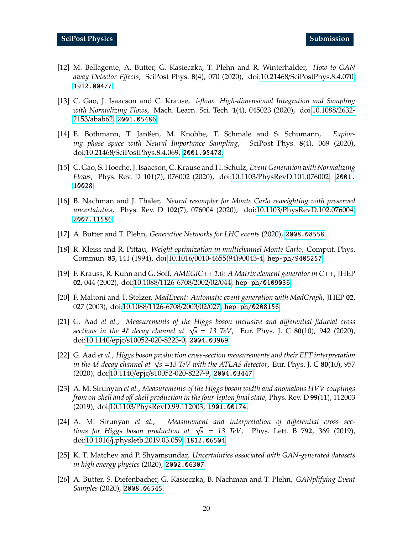- <span id="page-19-5"></span>[12] M. Bellagente, A. Butter, G. Kasieczka, T. Plehn and R. Winterhalder, *How to GAN away Detector E*ff*ects*, SciPost Phys. **8**(4), 070 (2020), doi:10.21468/[SciPostPhys.8.4.070,](https://doi.org/10.21468/SciPostPhys.8.4.070) <1912.00477>.
- <span id="page-19-8"></span>[13] C. Gao, J. Isaacson and C. Krause, *i-flow: High-dimensional Integration and Sampling with Normalizing Flows*, Mach. Learn. Sci. Tech. **1**(4), 045023 (2020), doi[:10.1088](https://doi.org/10.1088/2632-2153/abab62)/2632- 2153/[abab62,](https://doi.org/10.1088/2632-2153/abab62) <2001.05486>.
- <span id="page-19-10"></span>[14] E. Bothmann, T. Janßen, M. Knobbe, T. Schmale and S. Schumann, *Exploring phase space with Neural Importance Sampling*, SciPost Phys. **8**(4), 069 (2020), doi:10.21468/[SciPostPhys.8.4.069,](https://doi.org/10.21468/SciPostPhys.8.4.069) <2001.05478>.
- <span id="page-19-9"></span>[15] C. Gao, S. Hoeche, J. Isaacson, C. Krause and H. Schulz, *Event Generation with Normalizing Flows*, Phys. Rev. D **101**(7), 076002 (2020), doi:10.1103/[PhysRevD.101.076002,](https://doi.org/10.1103/PhysRevD.101.076002) [2001.](2001.10028) [10028](2001.10028).
- [16] B. Nachman and J. Thaler, *Neural resampler for Monte Carlo reweighting with preserved uncertainties*, Phys. Rev. D **102**(7), 076004 (2020), doi:10.1103/[PhysRevD.102.076004,](https://doi.org/10.1103/PhysRevD.102.076004) <2007.11586>.
- <span id="page-19-0"></span>[17] A. Butter and T. Plehn, *Generative Networks for LHC events* (2020), <2008.08558>.
- <span id="page-19-1"></span>[18] R. Kleiss and R. Pittau, *Weight optimization in multichannel Monte Carlo*, Comput. Phys. Commun. **83**, 141 (1994), doi:10.1016/[0010-4655\(94\)90043-4,](https://doi.org/10.1016/0010-4655(94)90043-4) <hep-ph/9405257>.
- [19] F. Krauss, R. Kuhn and G. Soff, *AMEGIC*++ *1.0: A Matrix element generator in C*++, JHEP **02**, 044 (2002), doi:10.1088/[1126-6708](https://doi.org/10.1088/1126-6708/2002/02/044)/2002/02/044, <hep-ph/0109036>.
- <span id="page-19-2"></span>[20] F. Maltoni and T. Stelzer, *MadEvent: Automatic event generation with MadGraph*, JHEP **02**, 027 (2003), doi:10.1088/[1126-6708](https://doi.org/10.1088/1126-6708/2003/02/027)/2003/02/027, <hep-ph/0208156>.
- <span id="page-19-3"></span>[21] G. Aad *et al.*, *Measurements of the Higgs boson inclusive and di*ff*erential fiducial cross sections in the 4*` *decay channel at* <sup>√</sup> *s* = *13 TeV*, Eur. Phys. J. C **80**(10), 942 (2020), doi:10.1140/epjc/[s10052-020-8223-0,](https://doi.org/10.1140/epjc/s10052-020-8223-0) <2004.03969>.
- [22] G. Aad *et al.*, *Higgs boson production cross-section measurements and their EFT interpretation in the* <sup>4</sup>` *decay channel at* <sup>√</sup> *s* =*13 TeV with the ATLAS detector*, Eur. Phys. J. C **80**(10), 957 (2020), doi:10.1140/epjc/[s10052-020-8227-9,](https://doi.org/10.1140/epjc/s10052-020-8227-9) <2004.03447>.
- [23] A. M. Sirunyan *et al.*, *Measurements of the Higgs boson width and anomalous HVV couplings from on-shell and o*ff*-shell production in the four-lepton final state*, Phys. Rev. D **99**(11), 112003 (2019), doi:10.1103/[PhysRevD.99.112003,](https://doi.org/10.1103/PhysRevD.99.112003) <1901.00174>.
- <span id="page-19-4"></span>[24] A. M. Sirunyan *et al.*, *Measurement and interpretation of di*ff*erential cross sections for Higgs boson production at* <sup>√</sup> *s* = *13 TeV*, Phys. Lett. B **792**, 369 (2019), doi:10.1016/[j.physletb.2019.03.059,](https://doi.org/10.1016/j.physletb.2019.03.059) <1812.06504>.
- <span id="page-19-6"></span>[25] K. T. Matchev and P. Shyamsundar, *Uncertainties associated with GAN-generated datasets in high energy physics* (2020), <2002.06307>.
- <span id="page-19-7"></span>[26] A. Butter, S. Diefenbacher, G. Kasieczka, B. Nachman and T. Plehn, *GANplifying Event Samples* (2020), <2008.06545>.